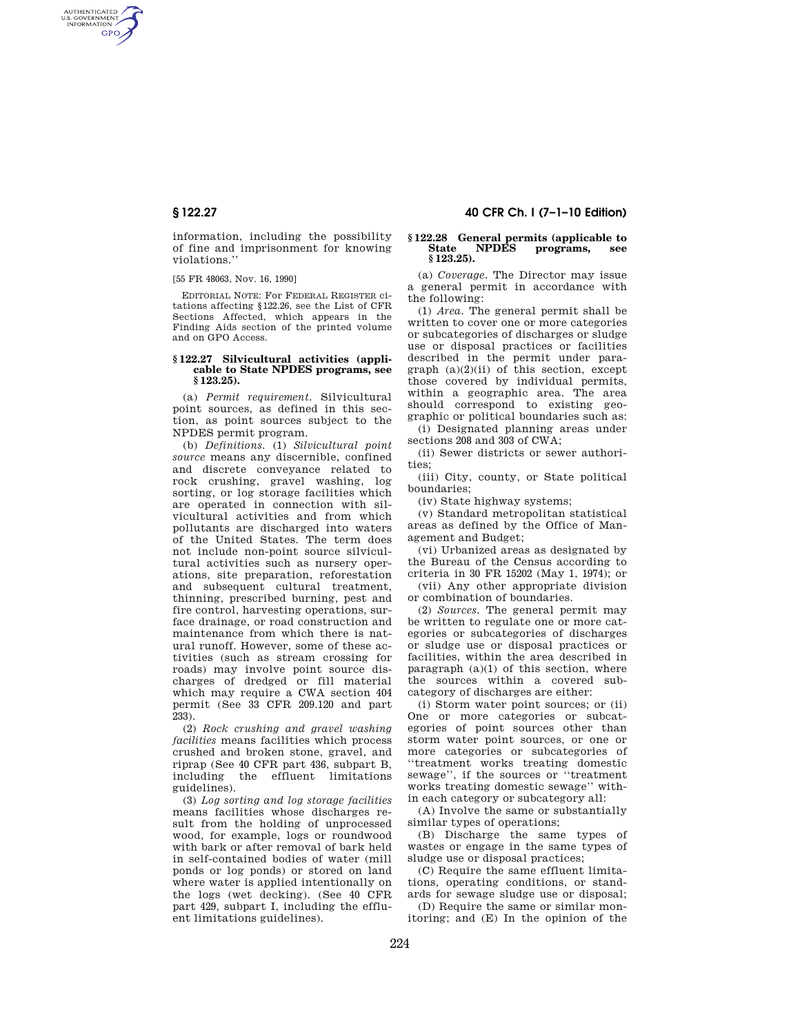AUTHENTICATED<br>U.S. GOVERNMENT<br>INFORMATION **GPO** 

> information, including the possibility of fine and imprisonment for knowing violations.''

[55 FR 48063, Nov. 16, 1990]

EDITORIAL NOTE: For FEDERAL REGISTER citations affecting §122.26, see the List of CFR Sections Affected, which appears in the Finding Aids section of the printed volume and on GPO Access.

### **§ 122.27 Silvicultural activities (applicable to State NPDES programs, see § 123.25).**

(a) *Permit requirement.* Silvicultural point sources, as defined in this section, as point sources subject to the NPDES permit program.

(b) *Definitions.* (1) *Silvicultural point source* means any discernible, confined and discrete conveyance related to rock crushing, gravel washing, log sorting, or log storage facilities which are operated in connection with silvicultural activities and from which pollutants are discharged into waters of the United States. The term does not include non-point source silvicultural activities such as nursery operations, site preparation, reforestation and subsequent cultural treatment. thinning, prescribed burning, pest and fire control, harvesting operations, surface drainage, or road construction and maintenance from which there is natural runoff. However, some of these activities (such as stream crossing for roads) may involve point source discharges of dredged or fill material which may require a CWA section 404 permit (See 33 CFR 209.120 and part 233).

(2) *Rock crushing and gravel washing facilities* means facilities which process crushed and broken stone, gravel, and riprap (See 40 CFR part 436, subpart B, including the effluent limitations guidelines).

(3) *Log sorting and log storage facilities*  means facilities whose discharges result from the holding of unprocessed wood, for example, logs or roundwood with bark or after removal of bark held in self-contained bodies of water (mill ponds or log ponds) or stored on land where water is applied intentionally on the logs (wet decking). (See 40 CFR part 429, subpart I, including the effluent limitations guidelines).

## **§ 122.27 40 CFR Ch. I (7–1–10 Edition)**

#### **§ 122.28 General permits (applicable to State NPDES programs, see § 123.25).**

(a) *Coverage.* The Director may issue a general permit in accordance with the following:

(1) *Area.* The general permit shall be written to cover one or more categories or subcategories of discharges or sludge use or disposal practices or facilities described in the permit under paragraph  $(a)(2)(ii)$  of this section, except those covered by individual permits, within a geographic area. The area should correspond to existing geographic or political boundaries such as: (i) Designated planning areas under

sections 208 and 303 of CWA;

(ii) Sewer districts or sewer authorities;

(iii) City, county, or State political boundaries;

(iv) State highway systems;

(v) Standard metropolitan statistical areas as defined by the Office of Management and Budget;

(vi) Urbanized areas as designated by the Bureau of the Census according to criteria in 30 FR 15202 (May 1, 1974); or

(vii) Any other appropriate division or combination of boundaries.

(2) *Sources.* The general permit may be written to regulate one or more categories or subcategories of discharges or sludge use or disposal practices or facilities, within the area described in paragraph  $(a)(1)$  of this section, where the sources within a covered subcategory of discharges are either:

(i) Storm water point sources; or (ii) One or more categories or subcategories of point sources other than storm water point sources, or one or more categories or subcategories of ''treatment works treating domestic sewage'', if the sources or ''treatment works treating domestic sewage'' within each category or subcategory all:

(A) Involve the same or substantially similar types of operations;

(B) Discharge the same types of wastes or engage in the same types of sludge use or disposal practices;

(C) Require the same effluent limitations, operating conditions, or standards for sewage sludge use or disposal;

(D) Require the same or similar monitoring; and (E) In the opinion of the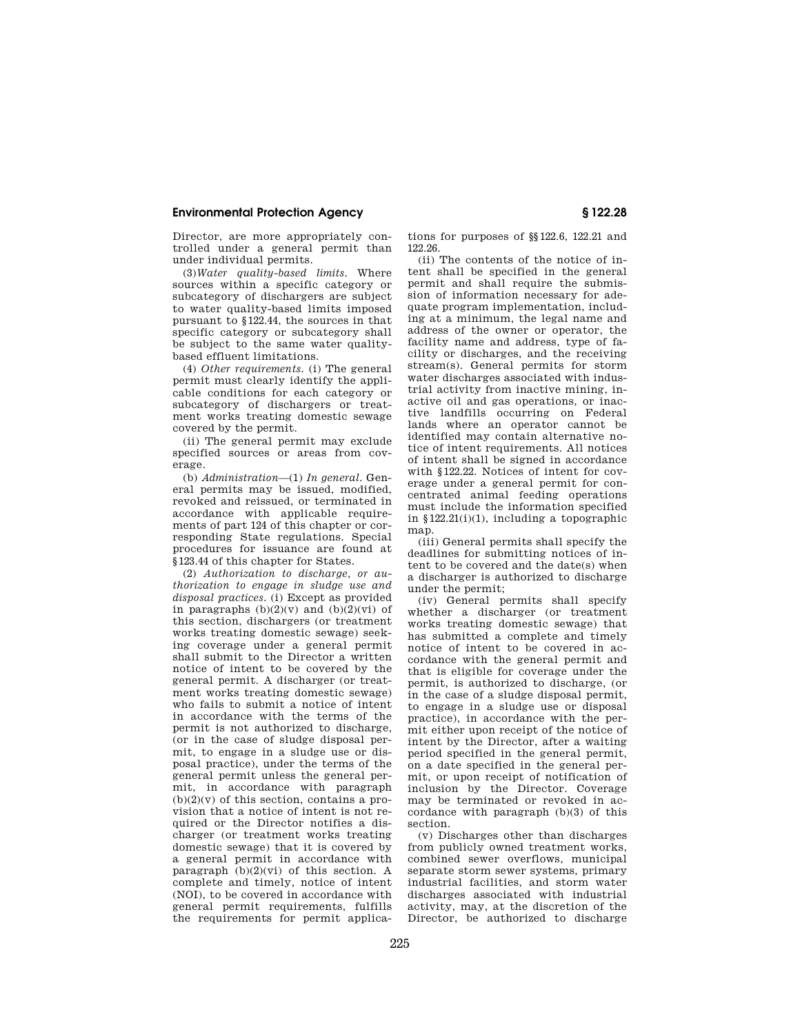## **Environmental Protection Agency § 122.28**

Director, are more appropriately controlled under a general permit than under individual permits.

(3)*Water quality-based limits.* Where sources within a specific category or subcategory of dischargers are subject to water quality-based limits imposed pursuant to §122.44, the sources in that specific category or subcategory shall be subject to the same water qualitybased effluent limitations.

(4) *Other requirements.* (i) The general permit must clearly identify the applicable conditions for each category or subcategory of dischargers or treatment works treating domestic sewage covered by the permit.

(ii) The general permit may exclude specified sources or areas from coverage.

(b) *Administration*—(1) *In general.* General permits may be issued, modified, revoked and reissued, or terminated in accordance with applicable requirements of part 124 of this chapter or corresponding State regulations. Special procedures for issuance are found at §123.44 of this chapter for States.

(2) *Authorization to discharge, or authorization to engage in sludge use and disposal practices.* (i) Except as provided in paragraphs  $(b)(2)(v)$  and  $(b)(2)(vi)$  of this section, dischargers (or treatment works treating domestic sewage) seeking coverage under a general permit shall submit to the Director a written notice of intent to be covered by the general permit. A discharger (or treatment works treating domestic sewage) who fails to submit a notice of intent in accordance with the terms of the permit is not authorized to discharge, (or in the case of sludge disposal permit, to engage in a sludge use or disposal practice), under the terms of the general permit unless the general permit, in accordance with paragraph  $(b)(2)(v)$  of this section, contains a provision that a notice of intent is not required or the Director notifies a discharger (or treatment works treating domestic sewage) that it is covered by a general permit in accordance with paragraph  $(b)(2)(vi)$  of this section. A complete and timely, notice of intent (NOI), to be covered in accordance with general permit requirements, fulfills the requirements for permit applications for purposes of §§122.6, 122.21 and 122.26.

(ii) The contents of the notice of intent shall be specified in the general permit and shall require the submission of information necessary for adequate program implementation, including at a minimum, the legal name and address of the owner or operator, the facility name and address, type of facility or discharges, and the receiving stream(s). General permits for storm water discharges associated with industrial activity from inactive mining, inactive oil and gas operations, or inactive landfills occurring on Federal lands where an operator cannot be identified may contain alternative notice of intent requirements. All notices of intent shall be signed in accordance with §122.22. Notices of intent for coverage under a general permit for concentrated animal feeding operations must include the information specified in §122.21(i)(1), including a topographic ma<sub>p</sub>.

(iii) General permits shall specify the deadlines for submitting notices of intent to be covered and the date(s) when a discharger is authorized to discharge under the permit;

(iv) General permits shall specify whether a discharger (or treatment works treating domestic sewage) that has submitted a complete and timely notice of intent to be covered in accordance with the general permit and that is eligible for coverage under the permit, is authorized to discharge, (or in the case of a sludge disposal permit, to engage in a sludge use or disposal practice), in accordance with the permit either upon receipt of the notice of intent by the Director, after a waiting period specified in the general permit, on a date specified in the general permit, or upon receipt of notification of inclusion by the Director. Coverage may be terminated or revoked in accordance with paragraph (b)(3) of this section.

(v) Discharges other than discharges from publicly owned treatment works, combined sewer overflows, municipal separate storm sewer systems, primary industrial facilities, and storm water discharges associated with industrial activity, may, at the discretion of the Director, be authorized to discharge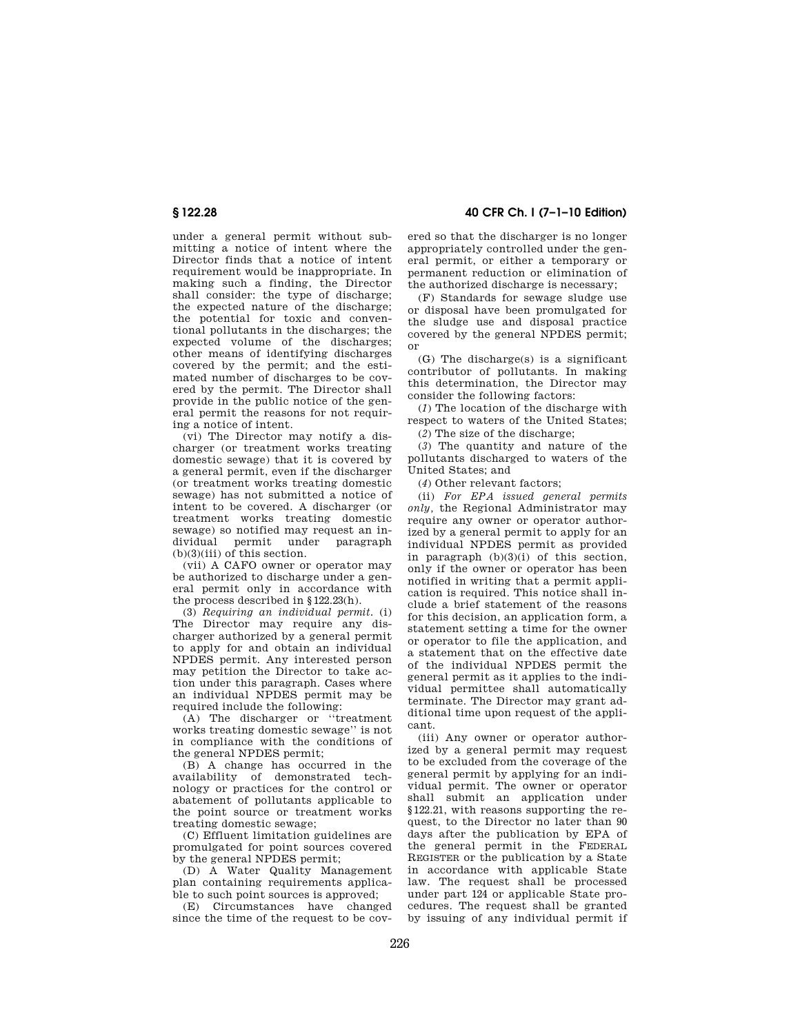# **§ 122.28 40 CFR Ch. I (7–1–10 Edition)**

under a general permit without submitting a notice of intent where the Director finds that a notice of intent requirement would be inappropriate. In making such a finding, the Director shall consider: the type of discharge; the expected nature of the discharge; the potential for toxic and conventional pollutants in the discharges; the expected volume of the discharges; other means of identifying discharges covered by the permit; and the estimated number of discharges to be covered by the permit. The Director shall provide in the public notice of the general permit the reasons for not requiring a notice of intent.

(vi) The Director may notify a discharger (or treatment works treating domestic sewage) that it is covered by a general permit, even if the discharger (or treatment works treating domestic sewage) has not submitted a notice of intent to be covered. A discharger (or treatment works treating domestic sewage) so notified may request an individual permit under paragraph (b)(3)(iii) of this section.

(vii) A CAFO owner or operator may be authorized to discharge under a general permit only in accordance with the process described in §122.23(h).

(3) *Requiring an individual permit.* (i) The Director may require any discharger authorized by a general permit to apply for and obtain an individual NPDES permit. Any interested person may petition the Director to take action under this paragraph. Cases where an individual NPDES permit may be required include the following:

(A) The discharger or ''treatment works treating domestic sewage'' is not in compliance with the conditions of the general NPDES permit;

(B) A change has occurred in the availability of demonstrated technology or practices for the control or abatement of pollutants applicable to the point source or treatment works treating domestic sewage;

(C) Effluent limitation guidelines are promulgated for point sources covered by the general NPDES permit;

(D) A Water Quality Management plan containing requirements applicable to such point sources is approved;

(E) Circumstances have changed since the time of the request to be cov-

ered so that the discharger is no longer appropriately controlled under the general permit, or either a temporary or permanent reduction or elimination of the authorized discharge is necessary;

(F) Standards for sewage sludge use or disposal have been promulgated for the sludge use and disposal practice covered by the general NPDES permit; or

(G) The discharge(s) is a significant contributor of pollutants. In making this determination, the Director may consider the following factors:

(*1*) The location of the discharge with respect to waters of the United States; (*2*) The size of the discharge;

(*3*) The quantity and nature of the pollutants discharged to waters of the United States; and

(*4*) Other relevant factors;

(ii) *For EPA issued general permits only,* the Regional Administrator may require any owner or operator authorized by a general permit to apply for an individual NPDES permit as provided in paragraph (b)(3)(i) of this section, only if the owner or operator has been notified in writing that a permit application is required. This notice shall include a brief statement of the reasons for this decision, an application form, a statement setting a time for the owner or operator to file the application, and a statement that on the effective date of the individual NPDES permit the general permit as it applies to the individual permittee shall automatically terminate. The Director may grant additional time upon request of the applicant.

(iii) Any owner or operator authorized by a general permit may request to be excluded from the coverage of the general permit by applying for an individual permit. The owner or operator shall submit an application under §122.21, with reasons supporting the request, to the Director no later than 90 days after the publication by EPA of the general permit in the FEDERAL REGISTER or the publication by a State in accordance with applicable State law. The request shall be processed under part 124 or applicable State procedures. The request shall be granted by issuing of any individual permit if